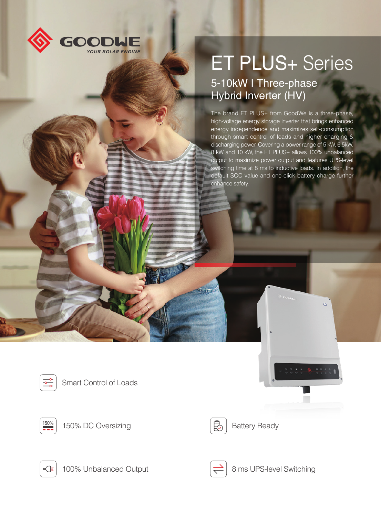

## ET PLUS+ Series

## 5-10kW I Three-phase Hybrid Inverter (HV)

The brand ET PLUS+ from GoodWe is a three-phase, high-voltage energy storage inverter that brings enhanced energy independence and maximizes self-consumption through smart control of loads and higher charging & discharging power. Covering a power range of 5 kW, 6.5kW, 8 kW and 10 kW, the ET PLUS+ allows 100% unbalanced output to maximize power output and features UPS-level switching time at 8 ms to inductive loads. In addition, the default SOC value and one-click battery charge further enhance safety.







 $\frac{150\%}{25\%}$  150% DC Oversizing  $\qquad \qquad$   $\qquad \qquad$  Battery Ready